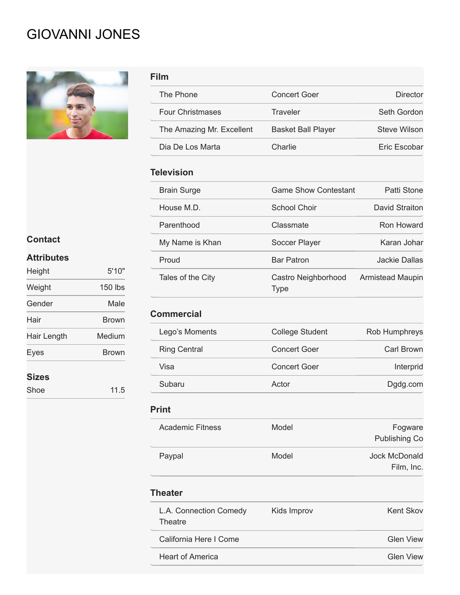# GIOVANNI JONES



| Film                      |                                    |                             |
|---------------------------|------------------------------------|-----------------------------|
| The Phone                 | <b>Concert Goer</b>                | <b>Director</b>             |
| <b>Four Christmases</b>   | <b>Traveler</b>                    | Seth Gordon                 |
| The Amazing Mr. Excellent | <b>Basket Ball Player</b>          | <b>Steve Wilson</b>         |
| Dia De Los Marta          | Charlie                            | Eric Escobar                |
| <b>Television</b>         |                                    |                             |
| <b>Brain Surge</b>        | <b>Game Show Contestant</b>        | Patti Stone                 |
| House M.D.                | <b>School Choir</b>                | <b>David Straiton</b>       |
| Parenthood                | Classmate                          | Ron Howard                  |
| My Name is Khan           | Soccer Player                      | Karan Johar                 |
| Proud                     | <b>Bar Patron</b>                  | <b>Jackie Dallas</b>        |
| Tales of the City         | Castro Neighborhood<br><b>Type</b> | <b>Armistead Maupin</b>     |
| <b>Commercial</b>         |                                    |                             |
| Lego's Moments            | <b>College Student</b>             | Rob Humphreys               |
| <b>Ring Central</b>       | <b>Concert Goer</b>                | <b>Carl Brown</b>           |
| Visa                      | <b>Concert Goer</b>                | Interprid                   |
| Subaru                    | Actor                              | Dgdg.com                    |
| <b>Print</b>              |                                    |                             |
| <b>Academic Fitness</b>   | Model                              | Fogware<br>Publishing Co    |
| Paypal                    | Model                              | Jock McDonald<br>Film, Inc. |

### **Theater**

| L.A. Connection Comedy<br>Theatre | Kids Improv | Kent Skov        |
|-----------------------------------|-------------|------------------|
| California Here I Come            |             | <b>Glen View</b> |
| <b>Heart of America</b>           |             | <b>Glen View</b> |

# **Contact**

# **Attributes**

| Height       | 5'10"   |
|--------------|---------|
| Weight       | 150 lbs |
| Gender       | Male    |
| Hair         | Brown   |
| Hair Length  | Medium  |
| Eyes         | Brown   |
| <b>Sizes</b> |         |
| Shoe         | 11.5    |